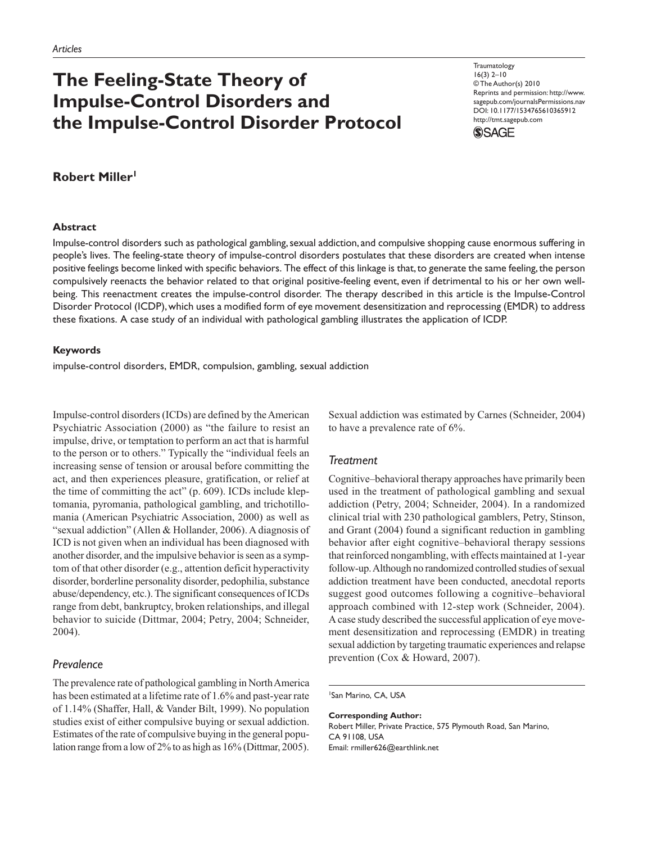# **The Feeling-State Theory of Impulse-Control Disorders and the Impulse-Control Disorder Protocol**

Traumatology  $16(3)$  2–10 © The Author(s) 2010 Reprints and permission: http://www. sagepub.com/journalsPermissions.nav DOI: 10.1177/1534765610365912 http://tmt.sagepub.com



# **Robert Miller1**

### **Abstract**

Impulse-control disorders such as pathological gambling, sexual addiction, and compulsive shopping cause enormous suffering in people's lives. The feeling-state theory of impulse-control disorders postulates that these disorders are created when intense positive feelings become linked with specific behaviors. The effect of this linkage is that, to generate the same feeling, the person compulsively reenacts the behavior related to that original positive-feeling event, even if detrimental to his or her own wellbeing. This reenactment creates the impulse-control disorder. The therapy described in this article is the Impulse-Control Disorder Protocol (ICDP), which uses a modified form of eye movement desensitization and reprocessing (EMDR) to address these fixations. A case study of an individual with pathological gambling illustrates the application of ICDP.

### **Keywords**

impulse-control disorders, EMDR, compulsion, gambling, sexual addiction

Impulse-control disorders (ICDs) are defined by the American Psychiatric Association (2000) as "the failure to resist an impulse, drive, or temptation to perform an act that is harmful to the person or to others." Typically the "individual feels an increasing sense of tension or arousal before committing the act, and then experiences pleasure, gratification, or relief at the time of committing the act" (p. 609). ICDs include kleptomania, pyromania, pathological gambling, and trichotillomania (American Psychiatric Association, 2000) as well as "sexual addiction" (Allen & Hollander, 2006). A diagnosis of ICD is not given when an individual has been diagnosed with another disorder, and the impulsive behavior is seen as a symptom of that other disorder (e.g., attention deficit hyperactivity disorder, borderline personality disorder, pedophilia, substance abuse/dependency, etc.). The significant consequences of ICDs range from debt, bankruptcy, broken relationships, and illegal behavior to suicide (Dittmar, 2004; Petry, 2004; Schneider, 2004).

# *Prevalence*

The prevalence rate of pathological gambling in North America has been estimated at a lifetime rate of 1.6% and past-year rate of 1.14% (Shaffer, Hall, & Vander Bilt, 1999). No population studies exist of either compulsive buying or sexual addiction. Estimates of the rate of compulsive buying in the general population range from a low of 2% to as high as 16% (Dittmar, 2005). Sexual addiction was estimated by Carnes (Schneider, 2004) to have a prevalence rate of 6%.

# *Treatment*

Cognitive–behavioral therapy approaches have primarily been used in the treatment of pathological gambling and sexual addiction (Petry, 2004; Schneider, 2004). In a randomized clinical trial with 230 pathological gamblers, Petry, Stinson, and Grant (2004) found a significant reduction in gambling behavior after eight cognitive–behavioral therapy sessions that reinforced nongambling, with effects maintained at 1-year follow-up. Although no randomized controlled studies of sexual addiction treatment have been conducted, anecdotal reports suggest good outcomes following a cognitive–behavioral approach combined with 12-step work (Schneider, 2004). A case study described the successful application of eye movement desensitization and reprocessing (EMDR) in treating sexual addiction by targeting traumatic experiences and relapse prevention (Cox & Howard, 2007).

1 San Marino, CA, USA

**Corresponding Author:**

Robert Miller, Private Practice, 575 Plymouth Road, San Marino, CA 91108, USA Email: rmiller626@earthlink.net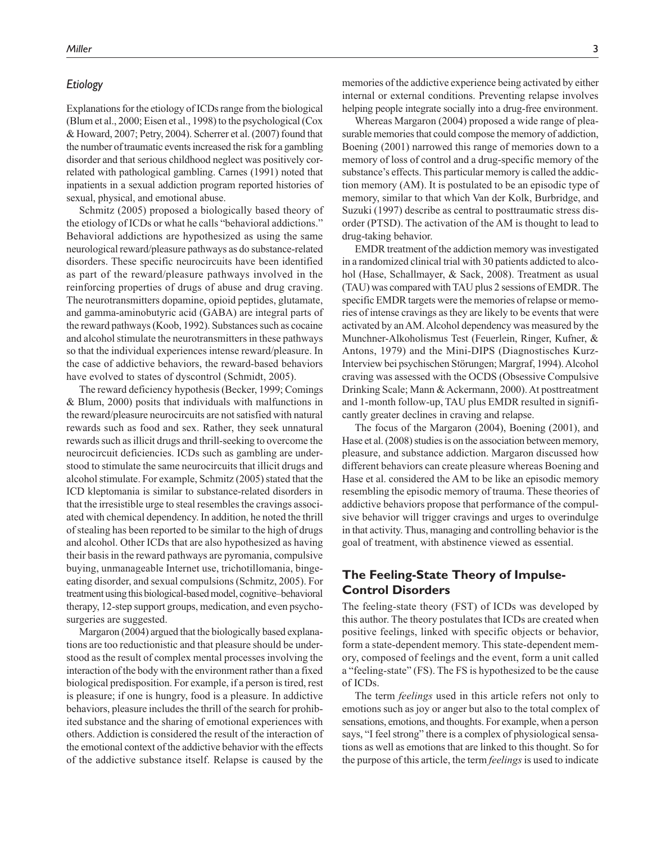### *Etiology*

Explanations for the etiology of ICDs range from the biological (Blum et al., 2000; Eisen et al., 1998) to the psychological (Cox & Howard, 2007; Petry, 2004). Scherrer et al. (2007) found that the number of traumatic events increased the risk for a gambling disorder and that serious childhood neglect was positively correlated with pathological gambling. Carnes (1991) noted that inpatients in a sexual addiction program reported histories of sexual, physical, and emotional abuse.

Schmitz (2005) proposed a biologically based theory of the etiology of ICDs or what he calls "behavioral addictions." Behavioral addictions are hypothesized as using the same neurological reward/pleasure pathways as do substance-related disorders. These specific neurocircuits have been identified as part of the reward/pleasure pathways involved in the reinforcing properties of drugs of abuse and drug craving. The neurotransmitters dopamine, opioid peptides, glutamate, and gamma-aminobutyric acid (GABA) are integral parts of the reward pathways (Koob, 1992). Substances such as cocaine and alcohol stimulate the neurotransmitters in these pathways so that the individual experiences intense reward/pleasure. In the case of addictive behaviors, the reward-based behaviors have evolved to states of dyscontrol (Schmidt, 2005).

The reward deficiency hypothesis (Becker, 1999; Comings & Blum, 2000) posits that individuals with malfunctions in the reward/pleasure neurocircuits are not satisfied with natural rewards such as food and sex. Rather, they seek unnatural rewards such as illicit drugs and thrill-seeking to overcome the neurocircuit deficiencies. ICDs such as gambling are understood to stimulate the same neurocircuits that illicit drugs and alcohol stimulate. For example, Schmitz (2005) stated that the ICD kleptomania is similar to substance-related disorders in that the irresistible urge to steal resembles the cravings associated with chemical dependency. In addition, he noted the thrill of stealing has been reported to be similar to the high of drugs and alcohol. Other ICDs that are also hypothesized as having their basis in the reward pathways are pyromania, compulsive buying, unmanageable Internet use, trichotillomania, bingeeating disorder, and sexual compulsions (Schmitz, 2005). For treatment using this biological-based model, cognitive–behavioral therapy, 12-step support groups, medication, and even psychosurgeries are suggested.

Margaron (2004) argued that the biologically based explanations are too reductionistic and that pleasure should be understood as the result of complex mental processes involving the interaction of the body with the environment rather than a fixed biological predisposition. For example, if a person is tired, rest is pleasure; if one is hungry, food is a pleasure. In addictive behaviors, pleasure includes the thrill of the search for prohibited substance and the sharing of emotional experiences with others. Addiction is considered the result of the interaction of the emotional context of the addictive behavior with the effects of the addictive substance itself. Relapse is caused by the memories of the addictive experience being activated by either internal or external conditions. Preventing relapse involves helping people integrate socially into a drug-free environment.

Whereas Margaron (2004) proposed a wide range of pleasurable memories that could compose the memory of addiction, Boening (2001) narrowed this range of memories down to a memory of loss of control and a drug-specific memory of the substance's effects. This particular memory is called the addiction memory (AM). It is postulated to be an episodic type of memory, similar to that which Van der Kolk, Burbridge, and Suzuki (1997) describe as central to posttraumatic stress disorder (PTSD). The activation of the AM is thought to lead to drug-taking behavior.

EMDR treatment of the addiction memory was investigated in a randomized clinical trial with 30 patients addicted to alcohol (Hase, Schallmayer, & Sack, 2008). Treatment as usual (TAU) was compared with TAU plus 2 sessions of EMDR. The specific EMDR targets were the memories of relapse or memories of intense cravings as they are likely to be events that were activated by an AM. Alcohol dependency was measured by the Munchner-Alkoholismus Test (Feuerlein, Ringer, Kufner, & Antons, 1979) and the Mini-DIPS (Diagnostisches Kurz-Interview bei psychischen Störungen; Margraf, 1994). Alcohol craving was assessed with the OCDS (Obsessive Compulsive Drinking Scale; Mann & Ackermann, 2000). At posttreatment and 1-month follow-up, TAU plus EMDR resulted in significantly greater declines in craving and relapse.

The focus of the Margaron (2004), Boening (2001), and Hase et al. (2008) studies is on the association between memory, pleasure, and substance addiction. Margaron discussed how different behaviors can create pleasure whereas Boening and Hase et al. considered the AM to be like an episodic memory resembling the episodic memory of trauma. These theories of addictive behaviors propose that performance of the compulsive behavior will trigger cravings and urges to overindulge in that activity. Thus, managing and controlling behavior is the goal of treatment, with abstinence viewed as essential.

# **The Feeling-State Theory of Impulse-Control Disorders**

The feeling-state theory (FST) of ICDs was developed by this author. The theory postulates that ICDs are created when positive feelings, linked with specific objects or behavior, form a state-dependent memory. This state-dependent memory, composed of feelings and the event, form a unit called a "feeling-state" (FS). The FS is hypothesized to be the cause of ICDs.

The term *feelings* used in this article refers not only to emotions such as joy or anger but also to the total complex of sensations, emotions, and thoughts. For example, when a person says, "I feel strong" there is a complex of physiological sensations as well as emotions that are linked to this thought. So for the purpose of this article, the term *feelings* is used to indicate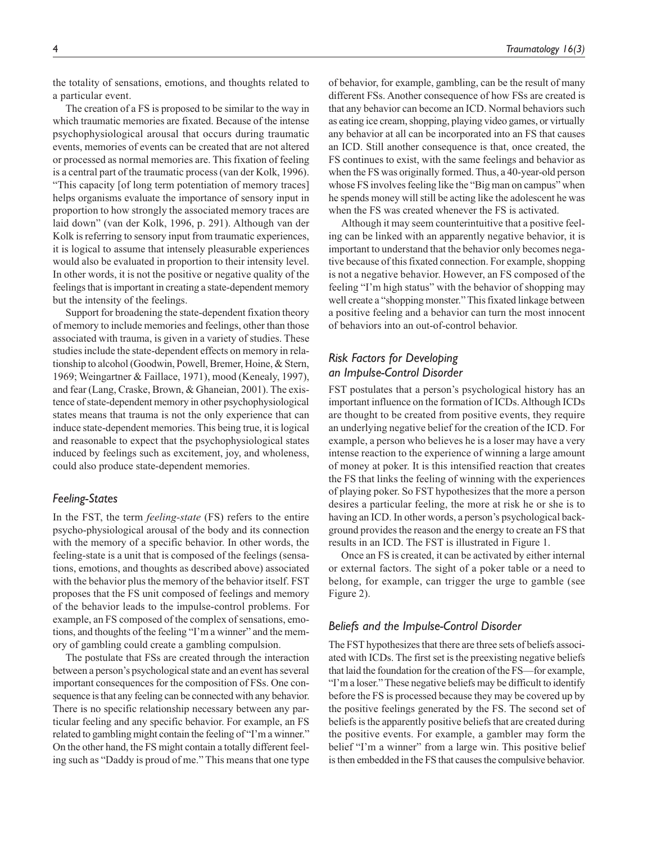the totality of sensations, emotions, and thoughts related to a particular event.

The creation of a FS is proposed to be similar to the way in which traumatic memories are fixated. Because of the intense psychophysiological arousal that occurs during traumatic events, memories of events can be created that are not altered or processed as normal memories are. This fixation of feeling is a central part of the traumatic process (van der Kolk, 1996). "This capacity [of long term potentiation of memory traces] helps organisms evaluate the importance of sensory input in proportion to how strongly the associated memory traces are laid down" (van der Kolk, 1996, p. 291). Although van der Kolk is referring to sensory input from traumatic experiences, it is logical to assume that intensely pleasurable experiences would also be evaluated in proportion to their intensity level. In other words, it is not the positive or negative quality of the feelings that is important in creating a state-dependent memory but the intensity of the feelings.

Support for broadening the state-dependent fixation theory of memory to include memories and feelings, other than those associated with trauma, is given in a variety of studies. These studies include the state-dependent effects on memory in relationship to alcohol (Goodwin, Powell, Bremer, Hoine, & Stern, 1969; Weingartner & Faillace, 1971), mood (Kenealy, 1997), and fear (Lang, Craske, Brown, & Ghaneian, 2001). The existence of state-dependent memory in other psychophysiological states means that trauma is not the only experience that can induce state-dependent memories. This being true, it is logical and reasonable to expect that the psychophysiological states induced by feelings such as excitement, joy, and wholeness, could also produce state-dependent memories.

### *Feeling-States*

In the FST, the term *feeling-state* (FS) refers to the entire psycho-physiological arousal of the body and its connection with the memory of a specific behavior. In other words, the feeling-state is a unit that is composed of the feelings (sensations, emotions, and thoughts as described above) associated with the behavior plus the memory of the behavior itself. FST proposes that the FS unit composed of feelings and memory of the behavior leads to the impulse-control problems. For example, an FS composed of the complex of sensations, emotions, and thoughts of the feeling "I'm a winner" and the memory of gambling could create a gambling compulsion.

The postulate that FSs are created through the interaction between a person's psychological state and an event has several important consequences for the composition of FSs. One consequence is that any feeling can be connected with any behavior. There is no specific relationship necessary between any particular feeling and any specific behavior. For example, an FS related to gambling might contain the feeling of "I'm a winner." On the other hand, the FS might contain a totally different feeling such as "Daddy is proud of me." This means that one type of behavior, for example, gambling, can be the result of many different FSs. Another consequence of how FSs are created is that any behavior can become an ICD. Normal behaviors such as eating ice cream, shopping, playing video games, or virtually any behavior at all can be incorporated into an FS that causes an ICD. Still another consequence is that, once created, the FS continues to exist, with the same feelings and behavior as when the FS was originally formed. Thus, a 40-year-old person whose FS involves feeling like the "Big man on campus" when he spends money will still be acting like the adolescent he was when the FS was created whenever the FS is activated.

Although it may seem counterintuitive that a positive feeling can be linked with an apparently negative behavior, it is important to understand that the behavior only becomes negative because of this fixated connection. For example, shopping is not a negative behavior. However, an FS composed of the feeling "I'm high status" with the behavior of shopping may well create a "shopping monster." This fixated linkage between a positive feeling and a behavior can turn the most innocent of behaviors into an out-of-control behavior.

# *Risk Factors for Developing an Impulse-Control Disorder*

FST postulates that a person's psychological history has an important influence on the formation of ICDs. Although ICDs are thought to be created from positive events, they require an underlying negative belief for the creation of the ICD. For example, a person who believes he is a loser may have a very intense reaction to the experience of winning a large amount of money at poker. It is this intensified reaction that creates the FS that links the feeling of winning with the experiences of playing poker. So FST hypothesizes that the more a person desires a particular feeling, the more at risk he or she is to having an ICD. In other words, a person's psychological background provides the reason and the energy to create an FS that results in an ICD. The FST is illustrated in Figure 1.

Once an FS is created, it can be activated by either internal or external factors. The sight of a poker table or a need to belong, for example, can trigger the urge to gamble (see Figure 2).

### *Beliefs and the Impulse-Control Disorder*

The FST hypothesizes that there are three sets of beliefs associated with ICDs. The first set is the preexisting negative beliefs that laid the foundation for the creation of the FS—for example, "I'm a loser." These negative beliefs may be difficult to identify before the FS is processed because they may be covered up by the positive feelings generated by the FS. The second set of beliefs is the apparently positive beliefs that are created during the positive events. For example, a gambler may form the belief "I'm a winner" from a large win. This positive belief is then embedded in the FS that causes the compulsive behavior.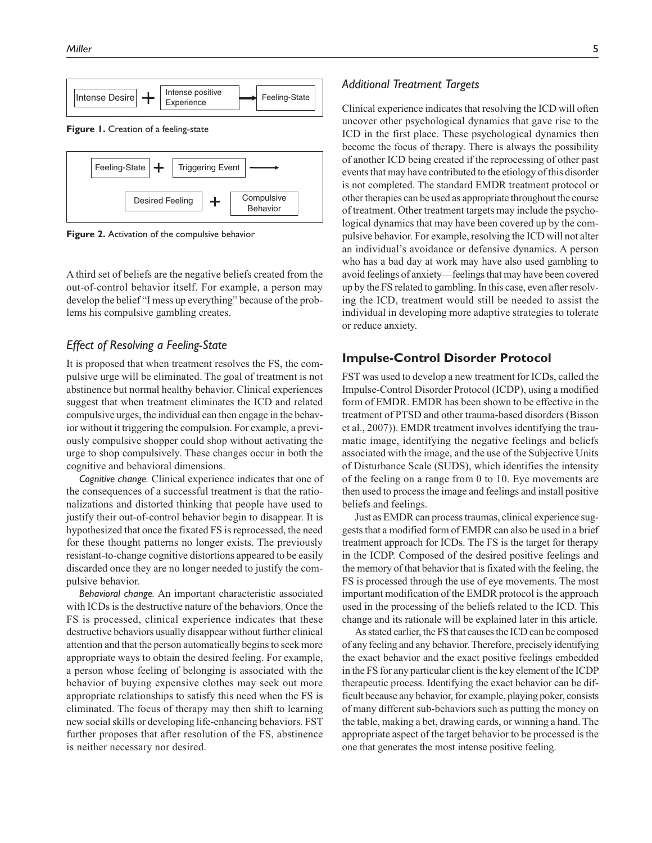

**Figure 1.** Creation of a feeling-state



**Figure 2.** Activation of the compulsive behavior

A third set of beliefs are the negative beliefs created from the out-of-control behavior itself. For example, a person may develop the belief "I mess up everything" because of the problems his compulsive gambling creates.

# *Effect of Resolving a Feeling-State*

It is proposed that when treatment resolves the FS, the compulsive urge will be eliminated. The goal of treatment is not abstinence but normal healthy behavior. Clinical experiences suggest that when treatment eliminates the ICD and related compulsive urges, the individual can then engage in the behavior without it triggering the compulsion. For example, a previously compulsive shopper could shop without activating the urge to shop compulsively. These changes occur in both the cognitive and behavioral dimensions.

*Cognitive change.* Clinical experience indicates that one of the consequences of a successful treatment is that the rationalizations and distorted thinking that people have used to justify their out-of-control behavior begin to disappear. It is hypothesized that once the fixated FS is reprocessed, the need for these thought patterns no longer exists. The previously resistant-to-change cognitive distortions appeared to be easily discarded once they are no longer needed to justify the compulsive behavior.

*Behavioral change.* An important characteristic associated with ICDs is the destructive nature of the behaviors. Once the FS is processed, clinical experience indicates that these destructive behaviors usually disappear without further clinical attention and that the person automatically begins to seek more appropriate ways to obtain the desired feeling. For example, a person whose feeling of belonging is associated with the behavior of buying expensive clothes may seek out more appropriate relationships to satisfy this need when the FS is eliminated. The focus of therapy may then shift to learning new social skills or developing life-enhancing behaviors. FST further proposes that after resolution of the FS, abstinence is neither necessary nor desired.

### *Additional Treatment Targets*

Clinical experience indicates that resolving the ICD will often uncover other psychological dynamics that gave rise to the ICD in the first place. These psychological dynamics then become the focus of therapy. There is always the possibility of another ICD being created if the reprocessing of other past events that may have contributed to the etiology of this disorder is not completed. The standard EMDR treatment protocol or other therapies can be used as appropriate throughout the course of treatment. Other treatment targets may include the psychological dynamics that may have been covered up by the compulsive behavior. For example, resolving the ICD will not alter an individual's avoidance or defensive dynamics. A person who has a bad day at work may have also used gambling to avoid feelings of anxiety—feelings that may have been covered up by the FS related to gambling. In this case, even after resolving the ICD, treatment would still be needed to assist the individual in developing more adaptive strategies to tolerate or reduce anxiety.

### **Impulse-Control Disorder Protocol**

FST was used to develop a new treatment for ICDs, called the Impulse-Control Disorder Protocol (ICDP), using a modified form of EMDR. EMDR has been shown to be effective in the treatment of PTSD and other trauma-based disorders (Bisson et al., 2007)). EMDR treatment involves identifying the traumatic image, identifying the negative feelings and beliefs associated with the image, and the use of the Subjective Units of Disturbance Scale (SUDS), which identifies the intensity of the feeling on a range from 0 to 10. Eye movements are then used to process the image and feelings and install positive beliefs and feelings.

Just as EMDR can process traumas, clinical experience suggests that a modified form of EMDR can also be used in a brief treatment approach for ICDs. The FS is the target for therapy in the ICDP. Composed of the desired positive feelings and the memory of that behavior that is fixated with the feeling, the FS is processed through the use of eye movements. The most important modification of the EMDR protocol is the approach used in the processing of the beliefs related to the ICD. This change and its rationale will be explained later in this article.

As stated earlier, the FS that causes the ICD can be composed of any feeling and any behavior. Therefore, precisely identifying the exact behavior and the exact positive feelings embedded in the FS for any particular client is the key element of the ICDP therapeutic process. Identifying the exact behavior can be difficult because any behavior, for example, playing poker, consists of many different sub-behaviors such as putting the money on the table, making a bet, drawing cards, or winning a hand. The appropriate aspect of the target behavior to be processed is the one that generates the most intense positive feeling.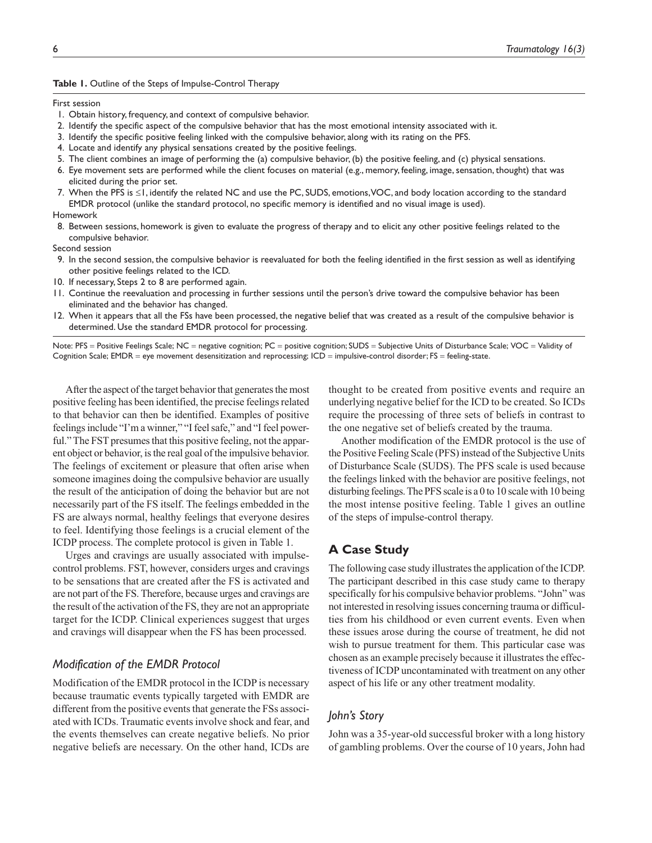**Table 1.** Outline of the Steps of Impulse-Control Therapy

#### First session

- 1. Obtain history, frequency, and context of compulsive behavior.
- 2. Identify the specific aspect of the compulsive behavior that has the most emotional intensity associated with it.
- 3. Identify the specific positive feeling linked with the compulsive behavior, along with its rating on the PFS.
- 4. Locate and identify any physical sensations created by the positive feelings.
- 5. The client combines an image of performing the (a) compulsive behavior, (b) the positive feeling, and (c) physical sensations.
- 6. Eye movement sets are performed while the client focuses on material (e.g., memory, feeling, image, sensation, thought) that was elicited during the prior set.
- 7. When the PFS is ≤1, identify the related NC and use the PC, SUDS, emotions, VOC, and body location according to the standard EMDR protocol (unlike the standard protocol, no specific memory is identified and no visual image is used).

Homework

8. Between sessions, homework is given to evaluate the progress of therapy and to elicit any other positive feelings related to the compulsive behavior.

Second session

- 9. In the second session, the compulsive behavior is reevaluated for both the feeling identified in the first session as well as identifying other positive feelings related to the ICD.
- 10. If necessary, Steps 2 to 8 are performed again.
- 11. Continue the reevaluation and processing in further sessions until the person's drive toward the compulsive behavior has been eliminated and the behavior has changed.
- 12. When it appears that all the FSs have been processed, the negative belief that was created as a result of the compulsive behavior is determined. Use the standard EMDR protocol for processing.

Note: PFS = Positive Feelings Scale; NC = negative cognition; PC = positive cognition; SUDS = Subjective Units of Disturbance Scale; VOC = Validity of Cognition Scale; EMDR = eye movement desensitization and reprocessing; ICD = impulsive-control disorder; FS = feeling-state.

After the aspect of the target behavior that generates the most positive feeling has been identified, the precise feelings related to that behavior can then be identified. Examples of positive feelings include "I'm a winner," "I feel safe," and "I feel powerful." The FST presumes that this positive feeling, not the apparent object or behavior, is the real goal of the impulsive behavior. The feelings of excitement or pleasure that often arise when someone imagines doing the compulsive behavior are usually the result of the anticipation of doing the behavior but are not necessarily part of the FS itself. The feelings embedded in the FS are always normal, healthy feelings that everyone desires to feel. Identifying those feelings is a crucial element of the ICDP process. The complete protocol is given in Table 1.

Urges and cravings are usually associated with impulsecontrol problems. FST, however, considers urges and cravings to be sensations that are created after the FS is activated and are not part of the FS. Therefore, because urges and cravings are the result of the activation of the FS, they are not an appropriate target for the ICDP. Clinical experiences suggest that urges and cravings will disappear when the FS has been processed.

### *Modification of the EMDR Protocol*

Modification of the EMDR protocol in the ICDP is necessary because traumatic events typically targeted with EMDR are different from the positive events that generate the FSs associated with ICDs. Traumatic events involve shock and fear, and the events themselves can create negative beliefs. No prior negative beliefs are necessary. On the other hand, ICDs are thought to be created from positive events and require an underlying negative belief for the ICD to be created. So ICDs require the processing of three sets of beliefs in contrast to the one negative set of beliefs created by the trauma.

Another modification of the EMDR protocol is the use of the Positive Feeling Scale (PFS) instead of the Subjective Units of Disturbance Scale (SUDS). The PFS scale is used because the feelings linked with the behavior are positive feelings, not disturbing feelings. The PFS scale is a 0 to 10 scale with 10 being the most intense positive feeling. Table 1 gives an outline of the steps of impulse-control therapy.

# **A Case Study**

The following case study illustrates the application of the ICDP. The participant described in this case study came to therapy specifically for his compulsive behavior problems. "John" was not interested in resolving issues concerning trauma or difficulties from his childhood or even current events. Even when these issues arose during the course of treatment, he did not wish to pursue treatment for them. This particular case was chosen as an example precisely because it illustrates the effectiveness of ICDP uncontaminated with treatment on any other aspect of his life or any other treatment modality.

# *John's Story*

John was a 35-year-old successful broker with a long history of gambling problems. Over the course of 10 years, John had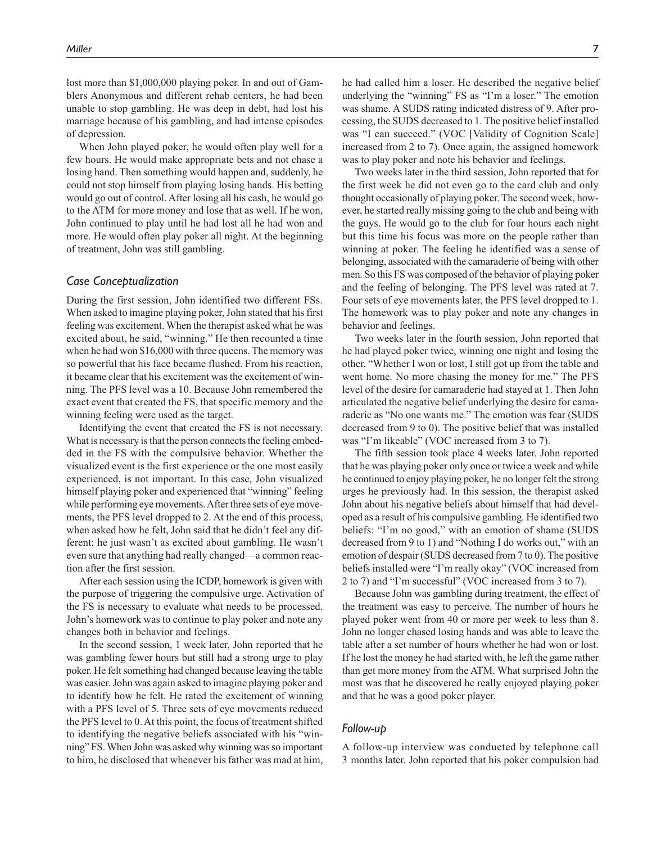lost more than \$1,000,000 playing poker. In and out of Gamblers Anonymous and different rehab centers, he had been unable to stop gambling. He was deep in debt, had lost his marriage because of his gambling, and had intense episodes of depression.

When John played poker, he would often play well for a few hours. He would make appropriate bets and not chase a losing hand. Then something would happen and, suddenly, he could not stop himself from playing losing hands. His betting would go out of control. After losing all his cash, he would go to the ATM for more money and lose that as well. If he won, John continued to play until he had lost all he had won and more. He would often play poker all night. At the beginning of treatment, John was still gambling.

### *Case Conceptualization*

During the first session, John identified two different FSs. When asked to imagine playing poker, John stated that his first feeling was excitement. When the therapist asked what he was excited about, he said, "winning." He then recounted a time when he had won \$16,000 with three queens. The memory was so powerful that his face became flushed. From his reaction, it became clear that his excitement was the excitement of winning. The PFS level was a 10. Because John remembered the exact event that created the FS, that specific memory and the winning feeling were used as the target.

Identifying the event that created the FS is not necessary. What is necessary is that the person connects the feeling embedded in the FS with the compulsive behavior. Whether the visualized event is the first experience or the one most easily experienced, is not important. In this case, John visualized himself playing poker and experienced that "winning" feeling while performing eye movements. After three sets of eye movements, the PFS level dropped to 2. At the end of this process, when asked how he felt, John said that he didn't feel any different; he just wasn't as excited about gambling. He wasn't even sure that anything had really changed—a common reaction after the first session.

After each session using the ICDP, homework is given with the purpose of triggering the compulsive urge. Activation of the FS is necessary to evaluate what needs to be processed. John's homework was to continue to play poker and note any changes both in behavior and feelings.

In the second session, 1 week later, John reported that he was gambling fewer hours but still had a strong urge to play poker. He felt something had changed because leaving the table was easier. John was again asked to imagine playing poker and to identify how he felt. He rated the excitement of winning with a PFS level of 5. Three sets of eye movements reduced the PFS level to 0. At this point, the focus of treatment shifted to identifying the negative beliefs associated with his "winning" FS. When John was asked why winning was so important to him, he disclosed that whenever his father was mad at him, he had called him a loser. He described the negative belief underlying the "winning" FS as "I'm a loser." The emotion was shame. A SUDS rating indicated distress of 9. After processing, the SUDS decreased to 1. The positive belief installed was "I can succeed." (VOC [Validity of Cognition Scale] increased from 2 to 7). Once again, the assigned homework was to play poker and note his behavior and feelings.

Two weeks later in the third session, John reported that for the first week he did not even go to the card club and only thought occasionally of playing poker. The second week, however, he started really missing going to the club and being with the guys. He would go to the club for four hours each night but this time his focus was more on the people rather than winning at poker. The feeling he identified was a sense of belonging, associated with the camaraderie of being with other men. So this FS was composed of the behavior of playing poker and the feeling of belonging. The PFS level was rated at 7. Four sets of eye movements later, the PFS level dropped to 1. The homework was to play poker and note any changes in behavior and feelings.

Two weeks later in the fourth session, John reported that he had played poker twice, winning one night and losing the other. "Whether I won or lost, I still got up from the table and went home. No more chasing the money for me." The PFS level of the desire for camaraderie had stayed at 1. Then John articulated the negative belief underlying the desire for camaraderie as "No one wants me." The emotion was fear (SUDS decreased from 9 to 0). The positive belief that was installed was "I'm likeable" (VOC increased from 3 to 7).

The fifth session took place 4 weeks later. John reported that he was playing poker only once or twice a week and while he continued to enjoy playing poker, he no longer felt the strong urges he previously had. In this session, the therapist asked John about his negative beliefs about himself that had developed as a result of his compulsive gambling. He identified two beliefs: "I'm no good," with an emotion of shame (SUDS decreased from 9 to 1) and "Nothing I do works out," with an emotion of despair (SUDS decreased from 7 to 0). The positive beliefs installed were "I'm really okay" (VOC increased from 2 to 7) and "I'm successful" (VOC increased from 3 to 7).

Because John was gambling during treatment, the effect of the treatment was easy to perceive. The number of hours he played poker went from 40 or more per week to less than 8. John no longer chased losing hands and was able to leave the table after a set number of hours whether he had won or lost. If he lost the money he had started with, he left the game rather than get more money from the ATM. What surprised John the most was that he discovered he really enjoyed playing poker and that he was a good poker player.

### *Follow-up*

A follow-up interview was conducted by telephone call 3 months later. John reported that his poker compulsion had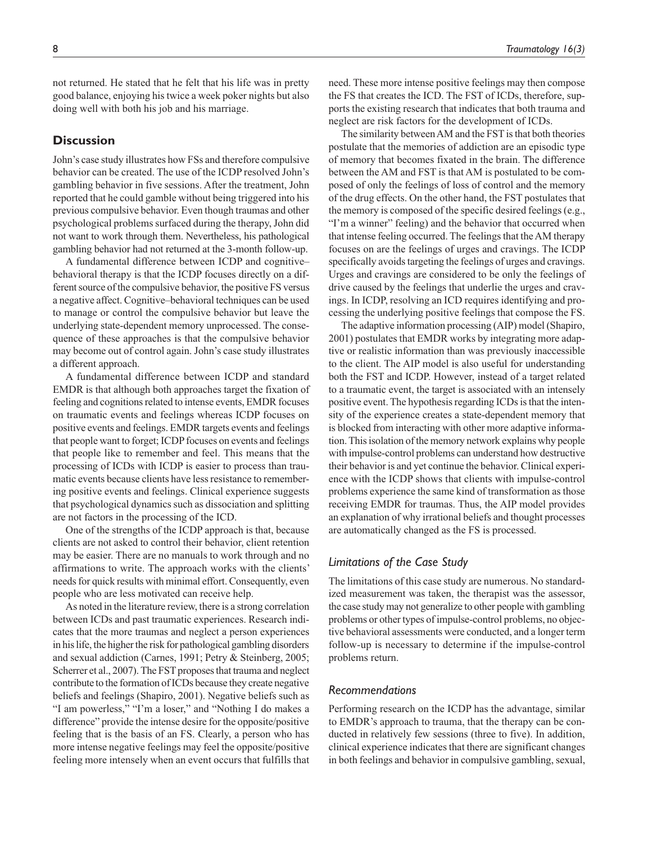not returned. He stated that he felt that his life was in pretty good balance, enjoying his twice a week poker nights but also doing well with both his job and his marriage.

### **Discussion**

John's case study illustrates how FSs and therefore compulsive behavior can be created. The use of the ICDP resolved John's gambling behavior in five sessions. After the treatment, John reported that he could gamble without being triggered into his previous compulsive behavior. Even though traumas and other psychological problems surfaced during the therapy, John did not want to work through them. Nevertheless, his pathological gambling behavior had not returned at the 3-month follow-up.

A fundamental difference between ICDP and cognitive– behavioral therapy is that the ICDP focuses directly on a different source of the compulsive behavior, the positive FS versus a negative affect. Cognitive–behavioral techniques can be used to manage or control the compulsive behavior but leave the underlying state-dependent memory unprocessed. The consequence of these approaches is that the compulsive behavior may become out of control again. John's case study illustrates a different approach.

A fundamental difference between ICDP and standard EMDR is that although both approaches target the fixation of feeling and cognitions related to intense events, EMDR focuses on traumatic events and feelings whereas ICDP focuses on positive events and feelings. EMDR targets events and feelings that people want to forget; ICDP focuses on events and feelings that people like to remember and feel. This means that the processing of ICDs with ICDP is easier to process than traumatic events because clients have less resistance to remembering positive events and feelings. Clinical experience suggests that psychological dynamics such as dissociation and splitting are not factors in the processing of the ICD.

One of the strengths of the ICDP approach is that, because clients are not asked to control their behavior, client retention may be easier. There are no manuals to work through and no affirmations to write. The approach works with the clients' needs for quick results with minimal effort. Consequently, even people who are less motivated can receive help.

As noted in the literature review, there is a strong correlation between ICDs and past traumatic experiences. Research indicates that the more traumas and neglect a person experiences in his life, the higher the risk for pathological gambling disorders and sexual addiction (Carnes, 1991; Petry & Steinberg, 2005; Scherrer et al., 2007). The FST proposes that trauma and neglect contribute to the formation of ICDs because they create negative beliefs and feelings (Shapiro, 2001). Negative beliefs such as "I am powerless," "I'm a loser," and "Nothing I do makes a difference" provide the intense desire for the opposite/positive feeling that is the basis of an FS. Clearly, a person who has more intense negative feelings may feel the opposite/positive feeling more intensely when an event occurs that fulfills that need. These more intense positive feelings may then compose the FS that creates the ICD. The FST of ICDs, therefore, supports the existing research that indicates that both trauma and neglect are risk factors for the development of ICDs.

The similarity between AM and the FST is that both theories postulate that the memories of addiction are an episodic type of memory that becomes fixated in the brain. The difference between the AM and FST is that AM is postulated to be composed of only the feelings of loss of control and the memory of the drug effects. On the other hand, the FST postulates that the memory is composed of the specific desired feelings (e.g., "I'm a winner" feeling) and the behavior that occurred when that intense feeling occurred. The feelings that the AM therapy focuses on are the feelings of urges and cravings. The ICDP specifically avoids targeting the feelings of urges and cravings. Urges and cravings are considered to be only the feelings of drive caused by the feelings that underlie the urges and cravings. In ICDP, resolving an ICD requires identifying and processing the underlying positive feelings that compose the FS.

The adaptive information processing (AIP) model (Shapiro, 2001) postulates that EMDR works by integrating more adaptive or realistic information than was previously inaccessible to the client. The AIP model is also useful for understanding both the FST and ICDP. However, instead of a target related to a traumatic event, the target is associated with an intensely positive event. The hypothesis regarding ICDs is that the intensity of the experience creates a state-dependent memory that is blocked from interacting with other more adaptive information. This isolation of the memory network explains why people with impulse-control problems can understand how destructive their behavior is and yet continue the behavior. Clinical experience with the ICDP shows that clients with impulse-control problems experience the same kind of transformation as those receiving EMDR for traumas. Thus, the AIP model provides an explanation of why irrational beliefs and thought processes are automatically changed as the FS is processed.

### *Limitations of the Case Study*

The limitations of this case study are numerous. No standardized measurement was taken, the therapist was the assessor, the case study may not generalize to other people with gambling problems or other types of impulse-control problems, no objective behavioral assessments were conducted, and a longer term follow-up is necessary to determine if the impulse-control problems return.

### *Recommendations*

Performing research on the ICDP has the advantage, similar to EMDR's approach to trauma, that the therapy can be conducted in relatively few sessions (three to five). In addition, clinical experience indicates that there are significant changes in both feelings and behavior in compulsive gambling, sexual,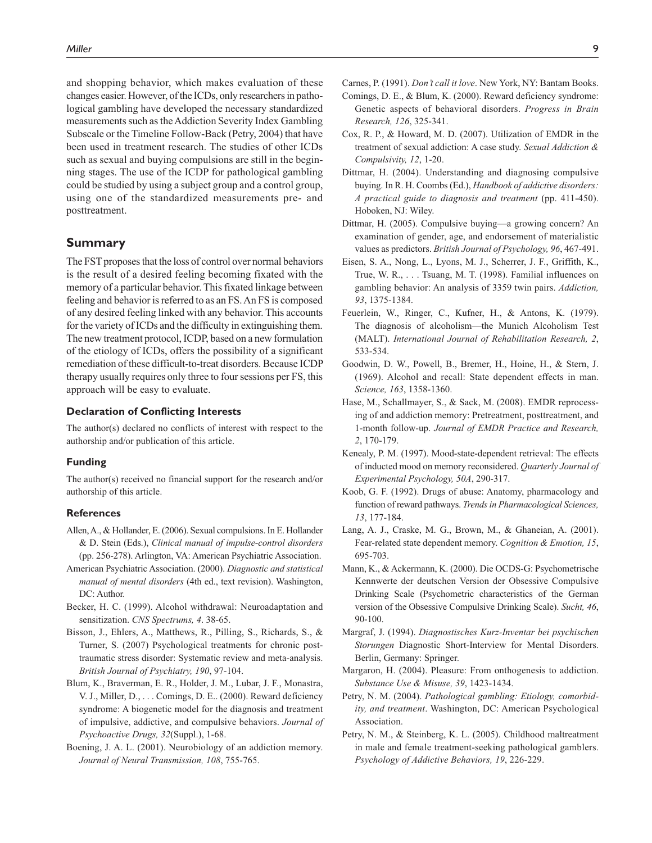and shopping behavior, which makes evaluation of these changes easier. However, of the ICDs, only researchers in pathological gambling have developed the necessary standardized measurements such as the Addiction Severity Index Gambling Subscale or the Timeline Follow-Back (Petry, 2004) that have been used in treatment research. The studies of other ICDs such as sexual and buying compulsions are still in the beginning stages. The use of the ICDP for pathological gambling could be studied by using a subject group and a control group, using one of the standardized measurements pre- and posttreatment.

### **Summary**

The FST proposes that the loss of control over normal behaviors is the result of a desired feeling becoming fixated with the memory of a particular behavior. This fixated linkage between feeling and behavior is referred to as an FS. An FS is composed of any desired feeling linked with any behavior. This accounts for the variety of ICDs and the difficulty in extinguishing them. The new treatment protocol, ICDP, based on a new formulation of the etiology of ICDs, offers the possibility of a significant remediation of these difficult-to-treat disorders. Because ICDP therapy usually requires only three to four sessions per FS, this approach will be easy to evaluate.

#### **Declaration of Conflicting Interests**

The author(s) declared no conflicts of interest with respect to the authorship and/or publication of this article.

### **Funding**

The author(s) received no financial support for the research and/or authorship of this article.

### **References**

- Allen, A., & Hollander, E. (2006). Sexual compulsions. In E. Hollander & D. Stein (Eds.), *Clinical manual of impulse-control disorders* (pp. 256-278). Arlington, VA: American Psychiatric Association.
- American Psychiatric Association. (2000). *Diagnostic and statistical manual of mental disorders* (4th ed., text revision). Washington, DC: Author.
- Becker, H. C. (1999). Alcohol withdrawal: Neuroadaptation and sensitization. *CNS Spectrums, 4*. 38-65.
- Bisson, J., Ehlers, A., Matthews, R., Pilling, S., Richards, S., & Turner, S. (2007) Psychological treatments for chronic posttraumatic stress disorder: Systematic review and meta-analysis. *British Journal of Psychiatry, 190*, 97-104.
- Blum, K., Braverman, E. R., Holder, J. M., Lubar, J. F., Monastra, V. J., Miller, D., . . . Comings, D. E.. (2000). Reward deficiency syndrome: A biogenetic model for the diagnosis and treatment of impulsive, addictive, and compulsive behaviors. *Journal of Psychoactive Drugs, 32*(Suppl.), 1-68.
- Boening, J. A. L. (2001). Neurobiology of an addiction memory. *Journal of Neural Transmission, 108*, 755-765.
- Comings, D. E., & Blum, K. (2000). Reward deficiency syndrome: Genetic aspects of behavioral disorders. *Progress in Brain Research, 126*, 325-341.
- Cox, R. P., & Howard, M. D. (2007). Utilization of EMDR in the treatment of sexual addiction: A case study. *Sexual Addiction & Compulsivity, 12*, 1-20.
- Dittmar, H. (2004). Understanding and diagnosing compulsive buying. In R. H. Coombs (Ed.), *Handbook of addictive disorders: A practical guide to diagnosis and treatment* (pp. 411-450). Hoboken, NJ: Wiley.
- Dittmar, H. (2005). Compulsive buying—a growing concern? An examination of gender, age, and endorsement of materialistic values as predictors. *British Journal of Psychology, 96*, 467-491.
- Eisen, S. A., Nong, L., Lyons, M. J., Scherrer, J. F., Griffith, K., True, W. R., . . . Tsuang, M. T. (1998). Familial influences on gambling behavior: An analysis of 3359 twin pairs. *Addiction, 93*, 1375-1384.
- Feuerlein, W., Ringer, C., Kufner, H., & Antons, K. (1979). The diagnosis of alcoholism—the Munich Alcoholism Test (MALT). *International Journal of Rehabilitation Research, 2*, 533-534.
- Goodwin, D. W., Powell, B., Bremer, H., Hoine, H., & Stern, J. (1969). Alcohol and recall: State dependent effects in man. *Science, 163*, 1358-1360.
- Hase, M., Schallmayer, S., & Sack, M. (2008). EMDR reprocessing of and addiction memory: Pretreatment, posttreatment, and 1-month follow-up. *Journal of EMDR Practice and Research, 2*, 170-179.
- Kenealy, P. M. (1997). Mood-state-dependent retrieval: The effects of inducted mood on memory reconsidered. *Quarterly Journal of Experimental Psychology, 50A*, 290-317.
- Koob, G. F. (1992). Drugs of abuse: Anatomy, pharmacology and function of reward pathways. *Trends in Pharmacological Sciences, 13*, 177-184.
- Lang, A. J., Craske, M. G., Brown, M., & Ghaneian, A. (2001). Fear-related state dependent memory. *Cognition & Emotion, 15*, 695-703.
- Mann, K., & Ackermann, K. (2000). Die OCDS-G: Psychometrische Kennwerte der deutschen Version der Obsessive Compulsive Drinking Scale (Psychometric characteristics of the German version of the Obsessive Compulsive Drinking Scale). *Sucht, 46*, 90-100.
- Margraf, J. (1994). *Diagnostisches Kurz-Inventar bei psychischen Storungen* Diagnostic Short-Interview for Mental Disorders. Berlin, Germany: Springer.
- Margaron, H. (2004). Pleasure: From onthogenesis to addiction. *Substance Use & Misuse, 39*, 1423-1434.
- Petry, N. M. (2004). *Pathological gambling: Etiology, comorbidity, and treatment*. Washington, DC: American Psychological Association.
- Petry, N. M., & Steinberg, K. L. (2005). Childhood maltreatment in male and female treatment-seeking pathological gamblers. *Psychology of Addictive Behaviors, 19*, 226-229.